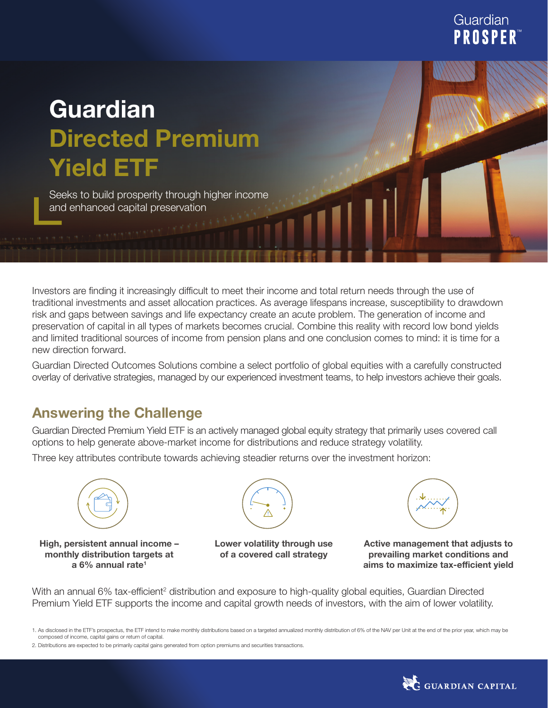## Guardian **PROSPER**

# **Guardian Directed Premium Yield ETF**

Seeks to build prosperity through higher income and enhanced capital preservation

Investors are finding it increasingly difficult to meet their income and total return needs through the use of traditional investments and asset allocation practices. As average lifespans increase, susceptibility to drawdown risk and gaps between savings and life expectancy create an acute problem. The generation of income and preservation of capital in all types of markets becomes crucial. Combine this reality with record low bond yields and limited traditional sources of income from pension plans and one conclusion comes to mind: it is time for a new direction forward.

Guardian Directed Outcomes Solutions combine a select portfolio of global equities with a carefully constructed overlay of derivative strategies, managed by our experienced investment teams, to help investors achieve their goals.

### **Answering the Challenge**

Guardian Directed Premium Yield ETF is an actively managed global equity strategy that primarily uses covered call options to help generate above-market income for distributions and reduce strategy volatility.

Three key attributes contribute towards achieving steadier returns over the investment horizon:



**High, persistent annual income – monthly distribution targets at a 6% annual rate1**



**Lower volatility through use of a covered call strategy**



**Active management that adjusts to prevailing market conditions and aims to maximize tax-efficient yield**

With an annual 6% tax-efficient<sup>2</sup> distribution and exposure to high-quality global equities, Guardian Directed Premium Yield ETF supports the income and capital growth needs of investors, with the aim of lower volatility.



<sup>1.</sup> As disclosed in the ETF's prospectus, the ETF intend to make monthly distributions based on a targeted annualized monthly distribution of 6% of the NAV per Unit at the end of the prior year, which may be composed of income, capital gains or return of capital.

<sup>2.</sup> Distributions are expected to be primarily capital gains generated from option premiums and securities transactions.